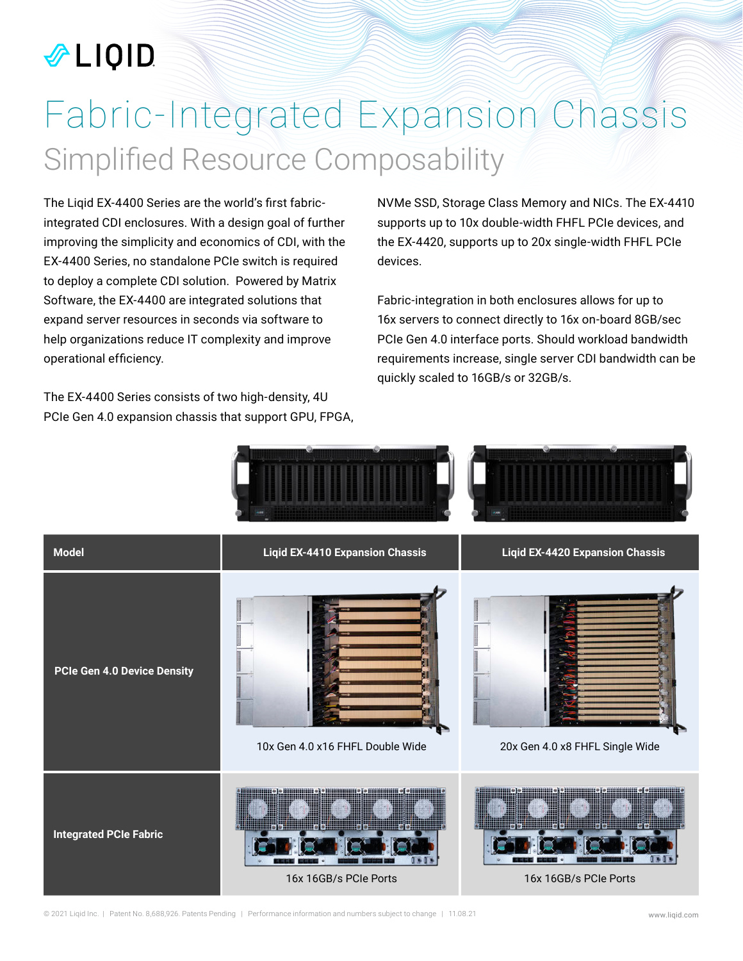### *ALIQID*

## Fabric-Integrated Expansion Chassis Simplified Resource Composability

The Liqid EX-4400 Series are the world's first fabricintegrated CDI enclosures. With a design goal of further improving the simplicity and economics of CDI, with the EX-4400 Series, no standalone PCIe switch is required to deploy a complete CDI solution. Powered by Matrix Software, the EX-4400 are integrated solutions that expand server resources in seconds via software to help organizations reduce IT complexity and improve operational efficiency.

The EX-4400 Series consists of two high-density, 4U PCIe Gen 4.0 expansion chassis that support GPU, FPGA, NVMe SSD, Storage Class Memory and NICs. The EX-4410 supports up to 10x double-width FHFL PCIe devices, and the EX-4420, supports up to 20x single-width FHFL PCIe devices.

Fabric-integration in both enclosures allows for up to 16x servers to connect directly to 16x on-board 8GB/sec PCIe Gen 4.0 interface ports. Should workload bandwidth requirements increase, single server CDI bandwidth can be quickly scaled to 16GB/s or 32GB/s.

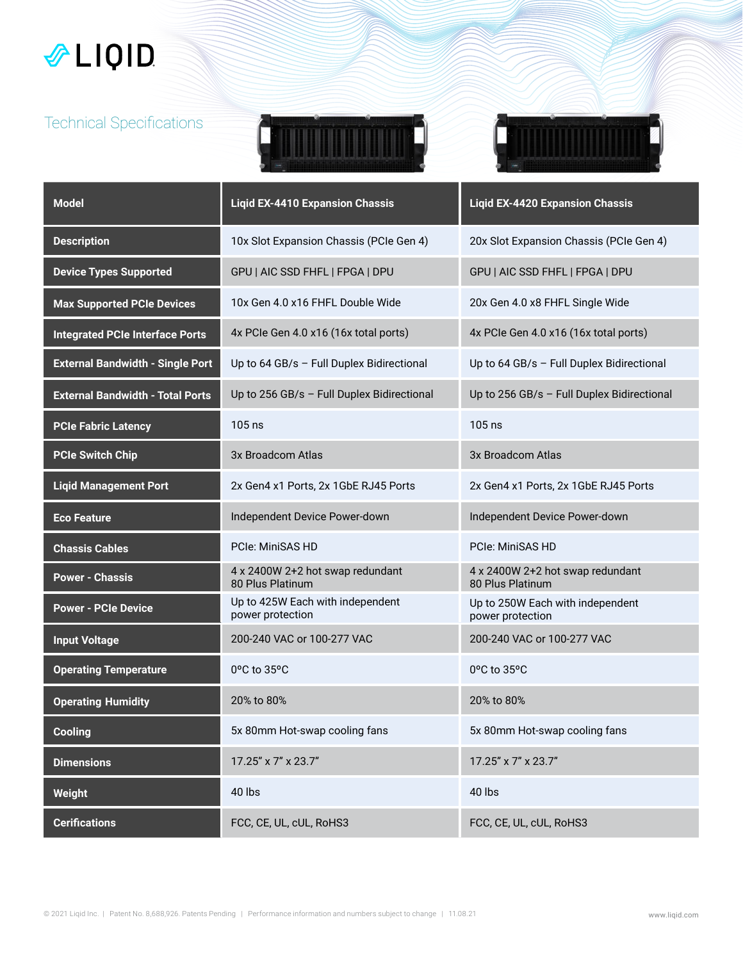### LIQID

#### Technical Specifications





| <b>Model</b>                            | <b>Ligid EX-4410 Expansion Chassis</b>               | <b>Liqid EX-4420 Expansion Chassis</b>               |
|-----------------------------------------|------------------------------------------------------|------------------------------------------------------|
| <b>Description</b>                      | 10x Slot Expansion Chassis (PCIe Gen 4)              | 20x Slot Expansion Chassis (PCIe Gen 4)              |
| <b>Device Types Supported</b>           | GPU   AIC SSD FHFL   FPGA   DPU                      | GPU   AIC SSD FHFL   FPGA   DPU                      |
| <b>Max Supported PCIe Devices</b>       | 10x Gen 4.0 x16 FHFL Double Wide                     | 20x Gen 4.0 x8 FHFL Single Wide                      |
| <b>Integrated PCIe Interface Ports</b>  | 4x PCIe Gen 4.0 x16 (16x total ports)                | 4x PCIe Gen 4.0 x16 (16x total ports)                |
| <b>External Bandwidth - Single Port</b> | Up to 64 GB/s - Full Duplex Bidirectional            | Up to 64 GB/s - Full Duplex Bidirectional            |
| <b>External Bandwidth - Total Ports</b> | Up to 256 GB/s - Full Duplex Bidirectional           | Up to 256 GB/s - Full Duplex Bidirectional           |
| <b>PCIe Fabric Latency</b>              | 105 ns                                               | 105 ns                                               |
| <b>PCIe Switch Chip</b>                 | 3x Broadcom Atlas                                    | 3x Broadcom Atlas                                    |
| <b>Liqid Management Port</b>            | 2x Gen4 x1 Ports, 2x 1GbE RJ45 Ports                 | 2x Gen4 x1 Ports, 2x 1GbE RJ45 Ports                 |
| <b>Eco Feature</b>                      | Independent Device Power-down                        | Independent Device Power-down                        |
| <b>Chassis Cables</b>                   | <b>PCIe: MiniSAS HD</b>                              | <b>PCIe: MiniSAS HD</b>                              |
| <b>Power - Chassis</b>                  | 4 x 2400W 2+2 hot swap redundant<br>80 Plus Platinum | 4 x 2400W 2+2 hot swap redundant<br>80 Plus Platinum |
| <b>Power - PCIe Device</b>              | Up to 425W Each with independent<br>power protection | Up to 250W Each with independent<br>power protection |
| <b>Input Voltage</b>                    | 200-240 VAC or 100-277 VAC                           | 200-240 VAC or 100-277 VAC                           |
| <b>Operating Temperature</b>            | $0^{\circ}$ C to $35^{\circ}$ C                      | 0°C to 35°C                                          |
| <b>Operating Humidity</b>               | 20% to 80%                                           | 20% to 80%                                           |
| <b>Cooling</b>                          | 5x 80mm Hot-swap cooling fans                        | 5x 80mm Hot-swap cooling fans                        |
| <b>Dimensions</b>                       | 17.25" x 7" x 23.7"                                  | 17.25" x 7" x 23.7"                                  |
| Weight                                  | 40 lbs                                               | 40 lbs                                               |
| <b>Cerifications</b>                    | FCC, CE, UL, cUL, RoHS3                              | FCC, CE, UL, cUL, RoHS3                              |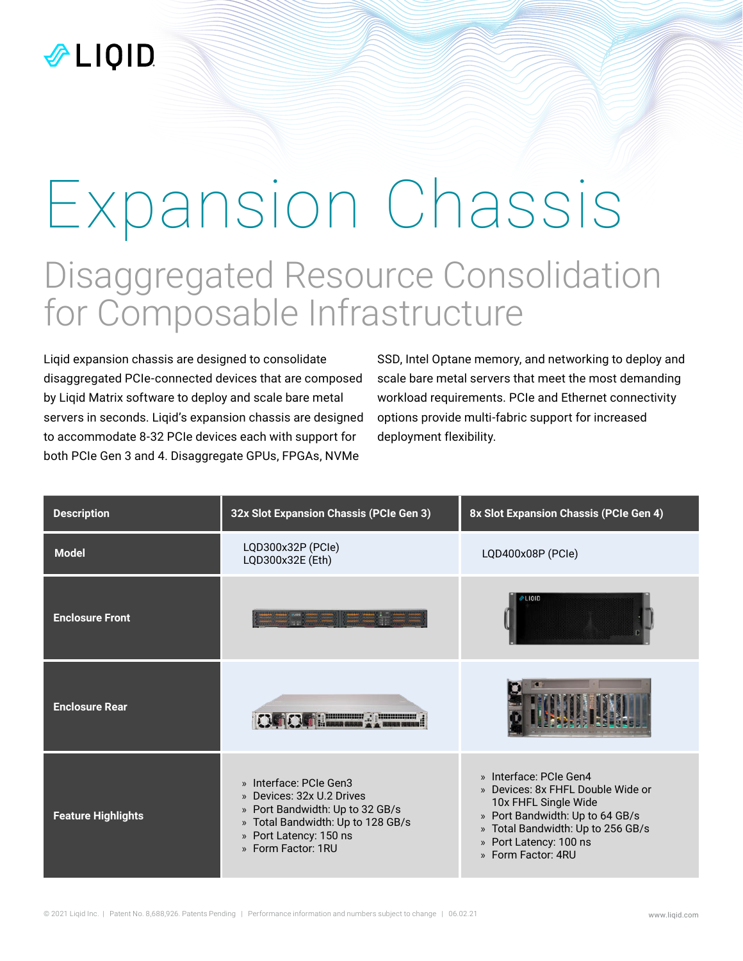# Expansion Chassis Disaggregated Resource Consolidation for Composable Infrastructure

Liqid expansion chassis are designed to consolidate disaggregated PCIe-connected devices that are composed by Liqid Matrix software to deploy and scale bare metal servers in seconds. Liqid's expansion chassis are designed to accommodate 8-32 PCIe devices each with support for both PCIe Gen 3 and 4. Disaggregate GPUs, FPGAs, NVMe

SSD, Intel Optane memory, and networking to deploy and scale bare metal servers that meet the most demanding workload requirements. PCIe and Ethernet connectivity options provide multi-fabric support for increased deployment flexibility.

| <b>Description</b>        | 32x Slot Expansion Chassis (PCIe Gen 3)                                                                                                                                     | 8x Slot Expansion Chassis (PCIe Gen 4)                                                                                                                                                                      |
|---------------------------|-----------------------------------------------------------------------------------------------------------------------------------------------------------------------------|-------------------------------------------------------------------------------------------------------------------------------------------------------------------------------------------------------------|
| <b>Model</b>              | LQD300x32P (PCle)<br>LQD300x32E (Eth)                                                                                                                                       | LQD400x08P (PCle)                                                                                                                                                                                           |
| <b>Enclosure Front</b>    |                                                                                                                                                                             | <b>PLIQID</b>                                                                                                                                                                                               |
| <b>Enclosure Rear</b>     | <b>MARKET 2008</b>                                                                                                                                                          |                                                                                                                                                                                                             |
| <b>Feature Highlights</b> | » Interface: PCIe Gen3<br>» Devices: 32x U.2 Drives<br>» Port Bandwidth: Up to 32 GB/s<br>» Total Bandwidth: Up to 128 GB/s<br>» Port Latency: 150 ns<br>» Form Factor: 1RU | » Interface: PCIe Gen4<br>» Devices: 8x FHFL Double Wide or<br>10x FHFL Single Wide<br>» Port Bandwidth: Up to 64 GB/s<br>» Total Bandwidth: Up to 256 GB/s<br>» Port Latency: 100 ns<br>» Form Factor: 4RU |